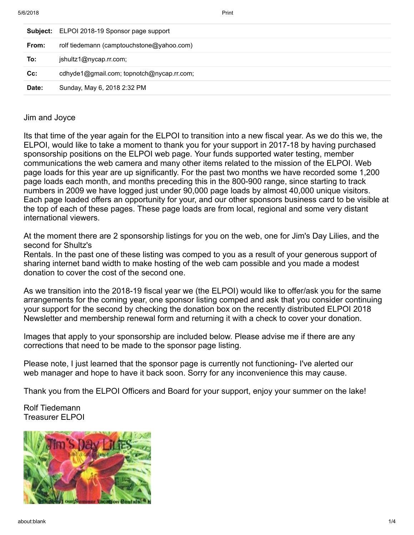|        | Subject: ELPOI 2018-19 Sponsor page support |
|--------|---------------------------------------------|
| From:  | rolf tiedemann (camptouchstone@yahoo.com)   |
| To:    | jshultz1@nycap.rr.com;                      |
| $Cc$ : | cdhyde1@gmail.com; topnotch@nycap.rr.com;   |
| Date:  | Sunday, May 6, 2018 2:32 PM                 |
|        |                                             |

## Jim and Joyce

Its that time of the year again for the ELPOI to transition into a new fiscal year. As we do this we, the ELPOI, would like to take a moment to thank you for your support in 2017-18 by having purchased sponsorship positions on the ELPOI web page. Your funds supported water testing, member communications the web camera and many other items related to the mission of the ELPOI. Web page loads for this year are up significantly. For the past two months we have recorded some 1,200 page loads each month, and months preceding this in the 800-900 range, since starting to track numbers in 2009 we have logged just under 90,000 page loads by almost 40,000 unique visitors. Each page loaded offers an opportunity for your, and our other sponsors business card to be visible at the top of each of these pages. These page loads are from local, regional and some very distant international viewers.

At the moment there are 2 sponsorship listings for you on the web, one for Jim's Day Lilies, and the second for Shultz's

Rentals. In the past one of these listing was comped to you as a result of your generous support of sharing internet band width to make hosting of the web cam possible and you made a modest donation to cover the cost of the second one.

As we transition into the 2018-19 fiscal year we (the ELPOI) would like to offer/ask you for the same arrangements for the coming year, one sponsor listing comped and ask that you consider continuing your support for the second by checking the donation box on the recently distributed ELPOI 2018 Newsletter and membership renewal form and returning it with a check to cover your donation.

Images that apply to your sponsorship are included below. Please advise me if there are any corrections that need to be made to the sponsor page listing.

Please note, I just learned that the sponsor page is currently not functioning- I've alerted our web manager and hope to have it back soon. Sorry for any inconvenience this may cause.

Thank you from the ELPOI Officers and Board for your support, enjoy your summer on the lake!

Rolf Tiedemann Treasurer ELPOI

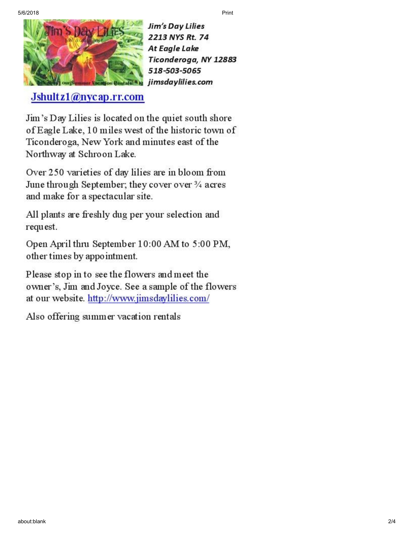

Jim's Day Lilies 2213 NYS Rt. 74 **At Eagle Lake** Ticonderoga, NY 12883 518-503-5065 jimsdaylilies.com

Jshultz1@nycap.rr.com

Jim's Day Lilies is located on the quiet south shore of Eagle Lake, 10 miles west of the historic town of Ticonderoga, New York and minutes east of the Northway at Schroon Lake.

Over 250 varieties of day lilies are in bloom from June through September; they cover over 3/4 acres and make for a spectacular site.

All plants are freshly dug per your selection and request.

Open April thru September 10:00 AM to 5:00 PM, other times by appointment.

Please stop in to see the flowers and meet the owner's, Jim and Joyce. See a sample of the flowers at our website. http://www.jimsdaylilies.com/

Also offering summer vacation rentals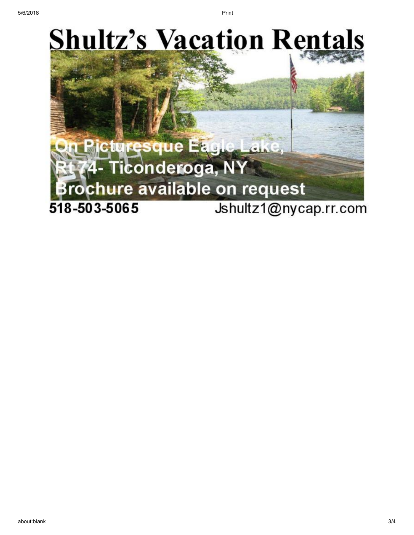